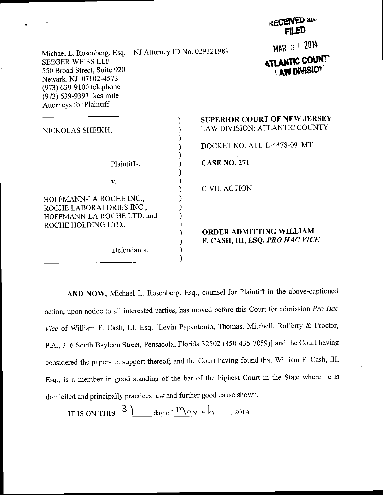| <b>KECEIAEA and</b><br><b>FILED</b>                                                                                 |
|---------------------------------------------------------------------------------------------------------------------|
| MAR 3 1 2014<br>Michael L. Rosenberg, Esq. - NJ Attorney ID No. 029321989<br><b>ATLANTIC COUNTY</b><br>LAW DIVISION |
| <b>SUPERIOR COURT OF NEW JERSEY</b><br>LAW DIVISION: ATLANTIC COUNTY                                                |
| DOCKET NO. ATL-L-4478-09 MT<br><b>CASE NO. 271</b>                                                                  |
| <b>CIVIL ACTION</b>                                                                                                 |
| <b>ORDER ADMITTING WILLIAM</b><br>F. CASH, III, ESQ. PRO HAC VICE                                                   |
|                                                                                                                     |

**LECENED and** 

AND NOW, Michael L. Rosenberg, Esq., counsel for Plaintiff in the above-captioned action, upon notice to all interested parties, has moved before this Court for admission Pro Hac Vice of William F. Cash, III, Esq. [Levin Papantonio, Thomas, Mitchell, Rafferty & Proctor, P.A., 316 South Bayleen Street, Pensacola, Florida 32502 (850-435-7059)] and the Court having considered the papers in support thereof; and the Court having found that William F. Cash, III, Esq., is a member in good standing of the bar of the highest Court in the State where he is domiciled and principally practices law and further good cause shown,

IT IS ON THIS  $\frac{3}{4}$  day of  $M$   $\alpha$   $\gamma$  c  $h$ , 2014